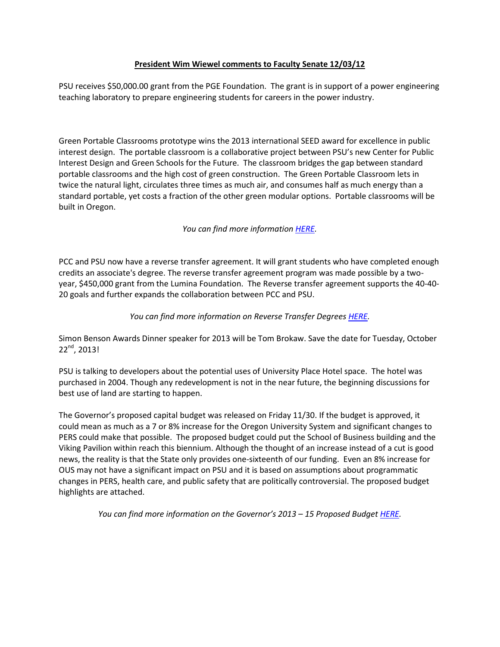#### **President Wim Wiewel comments to Faculty Senate 12/03/12**

PSU receives \$50,000.00 grant from the PGE Foundation. The grant is in support of a power engineering teaching laboratory to prepare engineering students for careers in the power industry.

Green Portable Classrooms prototype wins the 2013 international SEED award for excellence in public interest design. The portable classroom is a collaborative project between PSU's new Center for Public Interest Design and Green Schools for the Future. The classroom bridges the gap between standard portable classrooms and the high cost of green construction. The Green Portable Classroom lets in twice the natural light, circulates three times as much air, and consumes half as much energy than a standard portable, yet costs a fraction of the other green modular options. Portable classrooms will be built in Oregon.

*You can find more information [HERE.](http://www.pdx.edu/insidepsu/news/djc-psu-professors-unveil-green-portable-classroom)*

PCC and PSU now have a reverse transfer agreement. It will grant students who have completed enough credits an associate's degree. The reverse transfer agreement program was made possible by a twoyear, \$450,000 grant from the Lumina Foundation. The Reverse transfer agreement supports the 40-40- 20 goals and further expands the collaboration between PCC and PSU.

*You can find more information on Reverse Transfer Degree[s HERE.](http://www.ous.edu/sites/default/files/partner/cc/ReverseTransferBrief_FINAL.pdf)*

Simon Benson Awards Dinner speaker for 2013 will be Tom Brokaw. Save the date for Tuesday, October 22nd, 2013!

PSU is talking to developers about the potential uses of University Place Hotel space. The hotel was purchased in 2004. Though any redevelopment is not in the near future, the beginning discussions for best use of land are starting to happen.

The Governor's proposed capital budget was released on Friday 11/30. If the budget is approved, it could mean as much as a 7 or 8% increase for the Oregon University System and significant changes to PERS could make that possible. The proposed budget could put the School of Business building and the Viking Pavilion within reach this biennium. Although the thought of an increase instead of a cut is good news, the reality is that the State only provides one-sixteenth of our funding. Even an 8% increase for OUS may not have a significant impact on PSU and it is based on assumptions about programmatic changes in PERS, health care, and public safety that are politically controversial. The proposed budget highlights are attached.

*You can find more information on the Governor's 2013 – 15 Proposed Budge[t HERE.](http://www.oregon.gov/gov/media_room/Pages/press_releasesp2012/press_113012.aspx)*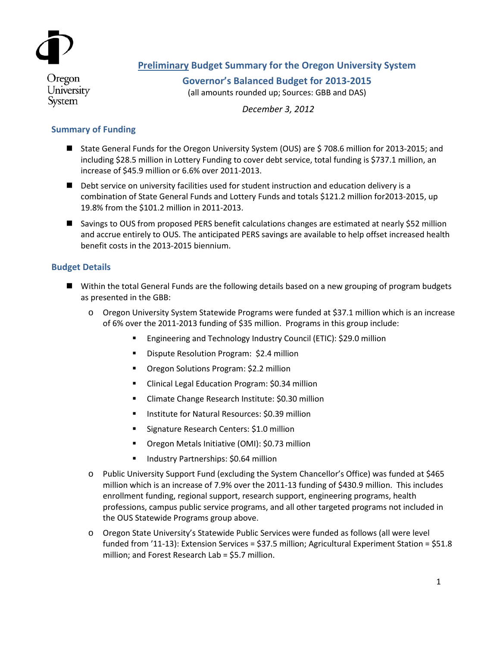

# **Preliminary Budget Summary for the Oregon University System**

Oregon University System

**Governor's Balanced Budget for 2013-2015** (all amounts rounded up; Sources: GBB and DAS)

*December 3, 2012*

# **Summary of Funding**

- State General Funds for the Oregon University System (OUS) are \$708.6 million for 2013-2015; and including \$28.5 million in Lottery Funding to cover debt service, total funding is \$737.1 million, an increase of \$45.9 million or 6.6% over 2011-2013.
- Debt service on university facilities used for student instruction and education delivery is a combination of State General Funds and Lottery Funds and totals \$121.2 million for2013-2015, up 19.8% from the \$101.2 million in 2011-2013.
- Savings to OUS from proposed PERS benefit calculations changes are estimated at nearly \$52 million and accrue entirely to OUS. The anticipated PERS savings are available to help offset increased health benefit costs in the 2013-2015 biennium.

### **Budget Details**

- Within the total General Funds are the following details based on a new grouping of program budgets as presented in the GBB:
	- o Oregon University System Statewide Programs were funded at \$37.1 million which is an increase of 6% over the 2011-2013 funding of \$35 million. Programs in this group include:
		- Engineering and Technology Industry Council (ETIC): \$29.0 million
		- **•** Dispute Resolution Program: \$2.4 million
		- **•** Oregon Solutions Program: \$2.2 million
		- **E** Clinical Legal Education Program: \$0.34 million
		- **E** Climate Change Research Institute: \$0.30 million
		- **Institute for Natural Resources: \$0.39 million**
		- **Signature Research Centers: \$1.0 million**
		- **•** Oregon Metals Initiative (OMI): \$0.73 million
		- **Industry Partnerships: \$0.64 million**
	- o Public University Support Fund (excluding the System Chancellor's Office) was funded at \$465 million which is an increase of 7.9% over the 2011-13 funding of \$430.9 million. This includes enrollment funding, regional support, research support, engineering programs, health professions, campus public service programs, and all other targeted programs not included in the OUS Statewide Programs group above.
	- o Oregon State University's Statewide Public Services were funded as follows (all were level funded from '11-13): Extension Services = \$37.5 million; Agricultural Experiment Station = \$51.8 million; and Forest Research Lab = \$5.7 million.